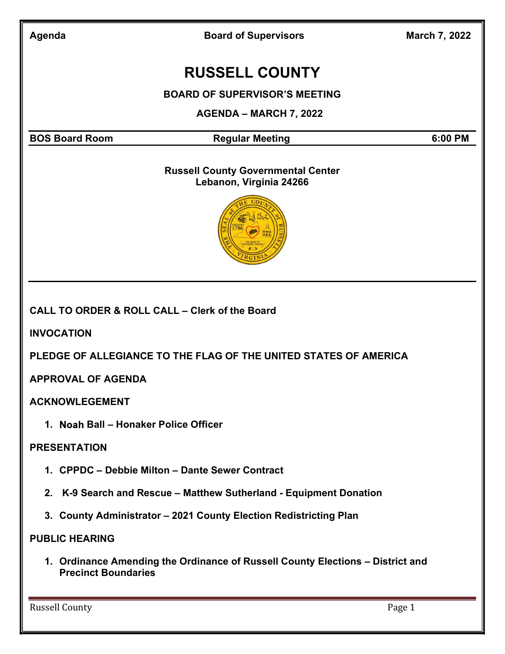Board of Supervisors March 7, 2022

## RUSSELL COUNTY

BOARD OF SUPERVISOR'S MEETING

AGENDA – MARCH 7, 2022

BOS Board Room **Regular Meeting 6:00 PM** Regular Meeting

## Russell County Governmental Center Lebanon, Virginia 24266



CALL TO ORDER & ROLL CALL – Clerk of the Board

INVOCATION

PLEDGE OF ALLEGIANCE TO THE FLAG OF THE UNITED STATES OF AMERICA

APPROVAL OF AGENDA

ACKNOWLEGEMENT

1. Noah Ball – Honaker Police Officer

## PRESENTATION

- 1. CPPDC Debbie Milton Dante Sewer Contract
- 2. K-9 Search and Rescue Matthew Sutherland Equipment Donation
- 3. County Administrator 2021 County Election Redistricting Plan

## PUBLIC HEARING

1. Ordinance Amending the Ordinance of Russell County Elections – District and Precinct Boundaries

Russell County **Page 1**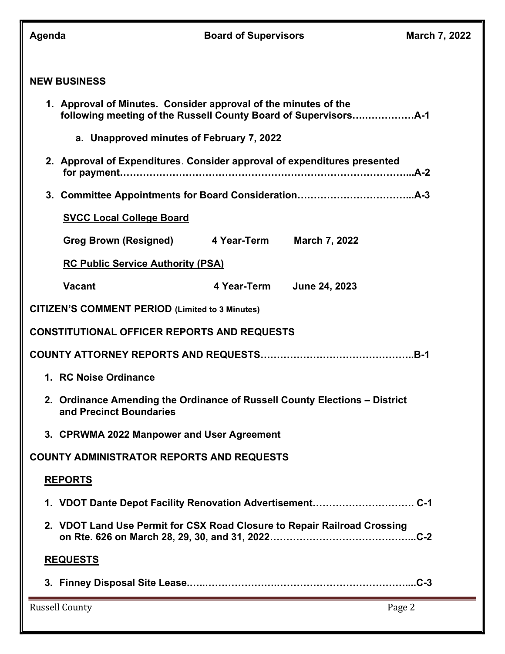| Agenda                                                                                                |                                                                          | <b>Board of Supervisors</b> | March 7, 2022 |  |  |
|-------------------------------------------------------------------------------------------------------|--------------------------------------------------------------------------|-----------------------------|---------------|--|--|
| <b>NEW BUSINESS</b>                                                                                   |                                                                          |                             |               |  |  |
|                                                                                                       | 1. Approval of Minutes. Consider approval of the minutes of the          |                             |               |  |  |
|                                                                                                       | a. Unapproved minutes of February 7, 2022                                |                             |               |  |  |
| 2. Approval of Expenditures. Consider approval of expenditures presented                              |                                                                          |                             |               |  |  |
|                                                                                                       |                                                                          |                             |               |  |  |
|                                                                                                       | <b>SVCC Local College Board</b>                                          |                             |               |  |  |
|                                                                                                       | Greg Brown (Resigned) 4 Year-Term                                        | <b>March 7, 2022</b>        |               |  |  |
|                                                                                                       | <b>RC Public Service Authority (PSA)</b>                                 |                             |               |  |  |
|                                                                                                       | <b>Vacant</b>                                                            | 4 Year-Term June 24, 2023   |               |  |  |
| <b>CITIZEN'S COMMENT PERIOD (Limited to 3 Minutes)</b>                                                |                                                                          |                             |               |  |  |
| <b>CONSTITUTIONAL OFFICER REPORTS AND REQUESTS</b>                                                    |                                                                          |                             |               |  |  |
|                                                                                                       |                                                                          |                             |               |  |  |
| 1. RC Noise Ordinance                                                                                 |                                                                          |                             |               |  |  |
| 2. Ordinance Amending the Ordinance of Russell County Elections - District<br>and Precinct Boundaries |                                                                          |                             |               |  |  |
|                                                                                                       | 3. CPRWMA 2022 Manpower and User Agreement                               |                             |               |  |  |
| <b>COUNTY ADMINISTRATOR REPORTS AND REQUESTS</b>                                                      |                                                                          |                             |               |  |  |
| <b>REPORTS</b>                                                                                        |                                                                          |                             |               |  |  |
|                                                                                                       |                                                                          |                             |               |  |  |
|                                                                                                       | 2. VDOT Land Use Permit for CSX Road Closure to Repair Railroad Crossing |                             |               |  |  |
| <b>REQUESTS</b>                                                                                       |                                                                          |                             |               |  |  |
|                                                                                                       |                                                                          |                             |               |  |  |
| <b>Russell County</b>                                                                                 |                                                                          |                             | Page 2        |  |  |